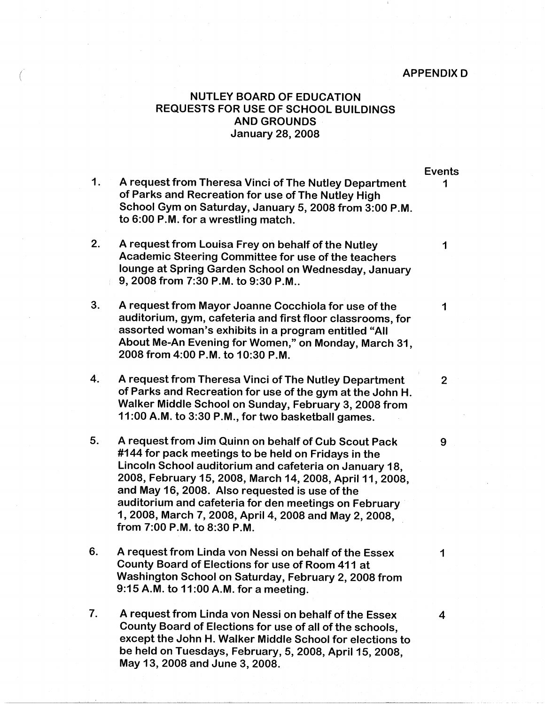## *<sup>I</sup>*APPENDIX D \

## NUTLEY BOARD OF EDUCATION REQUESTS FOR USE OF SCHOOL BUILDINGS **AND GROUNDS**  January 28, 2008

- 1. A request from Theresa Vinci of The Nutley Department 1 of Parks and Recreation for use of The Nutley High School Gym on Saturday, January 5, 2008 from 3:00 **P.M.**  to 6:00 **P.M.** for a wrestling match.
- 2. A request from Louisa Frey on behalf of the Nutley 1 Academic Steering Committee for use of the teachers lounge at Spring Garden School on Wednesday, January 9, 2008 from 7:30 **P.M.** to 9:30 **P.M ..**
- 3. A request from Mayor Joanne Cocchiola for use of the 1 auditorium, gym, cafeteria and first floor classrooms, for assorted woman's exhibits in a program entitled "All About Me-An Evening for Women," on Monday, March 31, 2008 from 4:00 **P.M.** to 10:30 **P.M.**
- 4. A request from Theresa Vinci of The Nutley Department 2 of Parks and Recreation for use of the gym at the John H. Walker Middle School on Sunday, February 3, 2008 from 11 :00 **A.M.** to 3:30 P **.M.,** for two basketball games.
- 5. A request from Jim Quinn on behalf of Cub Scout Pack 9 #144 for pack meetings to be held on Fridays in the Lincoln School auditorium and cafeteria on January 18, 2008, February 15, 2008, March 14, 2008, April 11, 2008, and May 16, 2008. Also requested is use of the auditorium and cafeteria for den meetings on February 1, 2008, March 7, 2008, April 4, 2008 and May 2, 2008, from 7:00 **P.M.** to 8:30 **P.M.**
- 6. A request from Linda von Nessi on behalf of the Essex 1 County Board of Elections for use of Room 411 at Washington School on Saturday, February 2, 2008 from 9:15 **A.M.** to 11 :00 **A.M.** for a meeting.
- 7. A request from Linda von Nessi on behalf of the Essex 4 County Board of Elections for use of all of the schools, except the John H. Walker Middle School for elections to be held on Tuesdays, February, 5, 2008, April 15, 2008, May 13, 2008 and June 3, 2008.

Events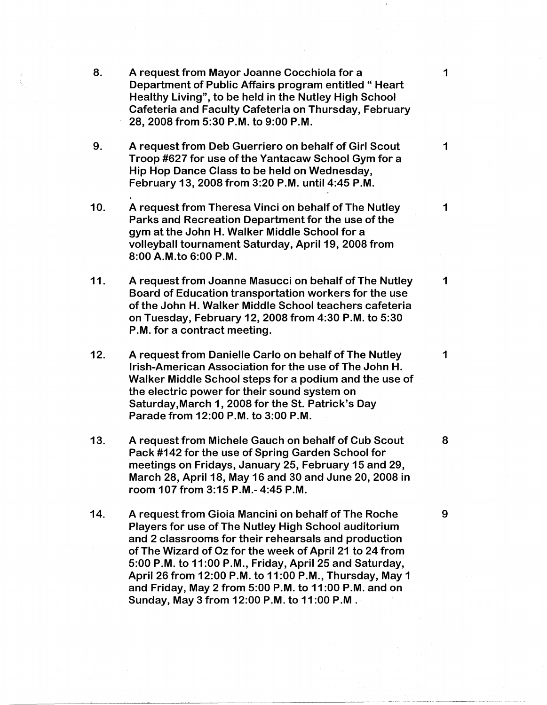| 8.  | A request from Mayor Joanne Cocchiola for a<br>Department of Public Affairs program entitled "Heart<br>Healthy Living", to be held in the Nutley High School<br>Cafeteria and Faculty Cafeteria on Thursday, February<br>28, 2008 from 5:30 P.M. to 9:00 P.M.                                                                                                                                                                                                       | $\mathbf 1$ |
|-----|---------------------------------------------------------------------------------------------------------------------------------------------------------------------------------------------------------------------------------------------------------------------------------------------------------------------------------------------------------------------------------------------------------------------------------------------------------------------|-------------|
| 9.  | A request from Deb Guerriero on behalf of Girl Scout<br>Troop #627 for use of the Yantacaw School Gym for a<br>Hip Hop Dance Class to be held on Wednesday,<br>February 13, 2008 from 3:20 P.M. until 4:45 P.M.                                                                                                                                                                                                                                                     | $\mathbf 1$ |
| 10. | A request from Theresa Vinci on behalf of The Nutley<br>Parks and Recreation Department for the use of the<br>gym at the John H. Walker Middle School for a<br>volleyball tournament Saturday, April 19, 2008 from<br>8:00 A.M.to 6:00 P.M.                                                                                                                                                                                                                         | 1           |
| 11. | A request from Joanne Masucci on behalf of The Nutley<br>Board of Education transportation workers for the use<br>of the John H. Walker Middle School teachers cafeteria<br>on Tuesday, February 12, 2008 from 4:30 P.M. to 5:30<br>P.M. for a contract meeting.                                                                                                                                                                                                    | $\mathbf 1$ |
| 12. | A request from Danielle Carlo on behalf of The Nutley<br>Irish-American Association for the use of The John H.<br>Walker Middle School steps for a podium and the use of<br>the electric power for their sound system on<br>Saturday, March 1, 2008 for the St. Patrick's Day<br>Parade from 12:00 P.M. to 3:00 P.M.                                                                                                                                                | 1           |
| 13. | A request from Michele Gauch on behalf of Cub Scout<br>Pack #142 for the use of Spring Garden School for<br>meetings on Fridays, January 25, February 15 and 29,<br>March 28, April 18, May 16 and 30 and June 20, 2008 in<br>room 107 from 3:15 P.M.- 4:45 P.M.                                                                                                                                                                                                    | 8           |
| 14. | A request from Gioia Mancini on behalf of The Roche<br><b>Players for use of The Nutley High School auditorium</b><br>and 2 classrooms for their rehearsals and production<br>of The Wizard of Oz for the week of April 21 to 24 from<br>5:00 P.M. to 11:00 P.M., Friday, April 25 and Saturday,<br>April 26 from 12:00 P.M. to 11:00 P.M., Thursday, May 1<br>and Friday, May 2 from 5:00 P.M. to 11:00 P.M. and on<br>Sunday, May 3 from 12:00 P.M. to 11:00 P.M. | 9           |

 $\hat{\boldsymbol{\beta}}$ 

 $\mathcal{A}_{\mathcal{A}}$